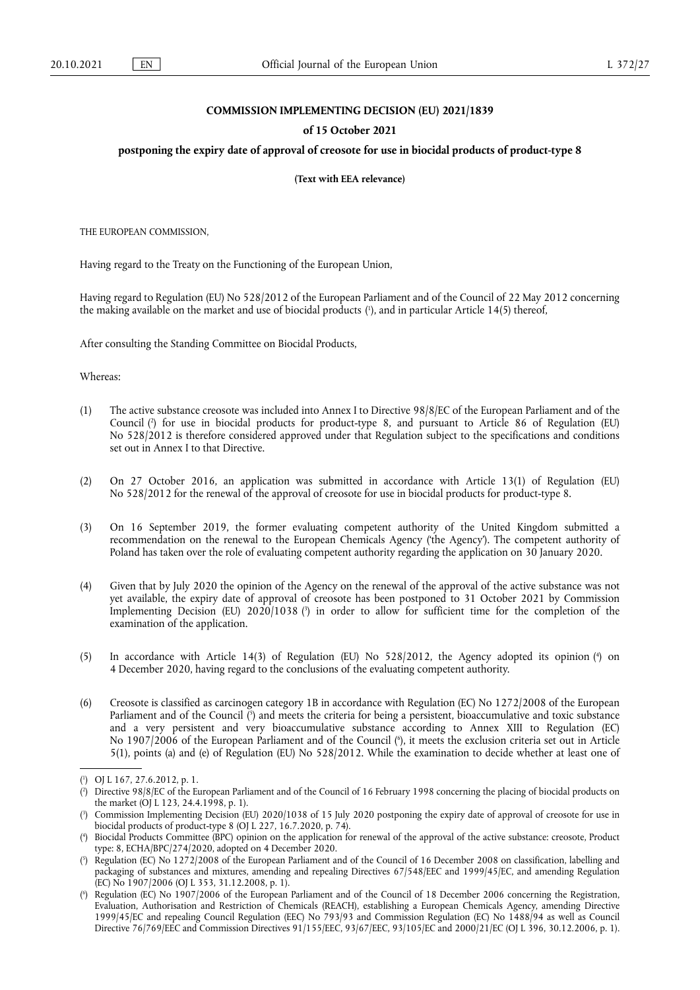## **COMMISSION IMPLEMENTING DECISION (EU) 2021/1839**

## **of 15 October 2021**

## postponing the expiry date of approval of creosote for use in biocidal products of product-type 8

**(Text with EEA relevance)** 

THE EUROPEAN COMMISSION,

Having regard to the Treaty on the Functioning of the European Union,

<span id="page-0-6"></span>Having regard to Regulation (EU) No 528/2012 of the European Parliament and of the Council of 22 May 2012 concerning the making available on the market and use of biocidal products [\(](#page-0-0) 1 ), and in particular Article 14(5) thereof,

After consulting the Standing Committee on Biocidal Products,

Whereas:

- <span id="page-0-7"></span>(1) The active substance creosote was included into Annex I to Directive 98/8/EC of the European Parliament and of the Council [\(](#page-0-1) 2 ) for use in biocidal products for product-type 8, and pursuant to Article 86 of Regulation (EU) No 528/2012 is therefore considered approved under that Regulation subject to the specifications and conditions set out in Annex I to that Directive.
- (2) On 27 October 2016, an application was submitted in accordance with Article 13(1) of Regulation (EU) No 528/2012 for the renewal of the approval of creosote for use in biocidal products for product-type 8.
- (3) On 16 September 2019, the former evaluating competent authority of the United Kingdom submitted a recommendation on the renewal to the European Chemicals Agency ('the Agency'). The competent authority of Poland has taken over the role of evaluating competent authority regarding the application on 30 January 2020.
- <span id="page-0-8"></span>(4) Given that by July 2020 the opinion of the Agency on the renewal of the approval of the active substance was not yet available, the expiry date of approval of creosote has been postponed to 31 October 2021 by Commission Implementing Decision (EU) 2020/1038 [\(](#page-0-2) 3 ) in order to allow for sufficient time for the completion of the examination of the application.
- <span id="page-0-9"></span>(5) In accordance with Article 14(3) of Regulation (EU) No 528/2012, the Agency adopted its opinion [\(](#page-0-3) 4 ) on 4 December 2020, having regard to the conclusions of the evaluating competent authority.
- <span id="page-0-11"></span><span id="page-0-10"></span>(6) Creosote is classified as carcinogen category 1B in accordance with Regulation (EC) No 1272/2008 of the European Parliament and of the Council [\(](#page-0-4) 5 ) and meets the criteria for being a persistent, bioaccumulative and toxic substance and a very persistent and very bioaccumulative substance according to Annex XIII to Regulation (EC) No 1907/2006 of the European Parliament and of the Council [\(](#page-0-5) 6 ), it meets the exclusion criteria set out in Article 5(1), points (a) and (e) of Regulation (EU) No 528/2012. While the examination to decide whether at least one of

<span id="page-0-0"></span>[<sup>\(</sup>](#page-0-6) 1 ) OJ L 167, 27.6.2012, p. 1.

<span id="page-0-1"></span>[<sup>\(</sup>](#page-0-7) 2 ) Directive 98/8/EC of the European Parliament and of the Council of 16 February 1998 concerning the placing of biocidal products on the market (OJ L 123, 24.4.1998, p. 1).

<span id="page-0-2"></span>[<sup>\(</sup>](#page-0-8) 3 ) Commission Implementing Decision (EU) 2020/1038 of 15 July 2020 postponing the expiry date of approval of creosote for use in biocidal products of product-type 8 (OJ L 227, 16.7.2020, p. 74).

<span id="page-0-3"></span>[<sup>\(</sup>](#page-0-9) 4 ) Biocidal Products Committee (BPC) opinion on the application for renewal of the approval of the active substance: creosote, Product type: 8, ECHA/BPC/274/2020, adopted on 4 December 2020.

<span id="page-0-4"></span>[<sup>\(</sup>](#page-0-10) 5 ) Regulation (EC) No 1272/2008 of the European Parliament and of the Council of 16 December 2008 on classification, labelling and packaging of substances and mixtures, amending and repealing Directives 67/548/EEC and 1999/45/EC, and amending Regulation (EC) No 1907/2006 (OJ L 353, 31.12.2008, p. 1).

<span id="page-0-5"></span>[<sup>\(</sup>](#page-0-11) 6 ) Regulation (EC) No 1907/2006 of the European Parliament and of the Council of 18 December 2006 concerning the Registration, Evaluation, Authorisation and Restriction of Chemicals (REACH), establishing a European Chemicals Agency, amending Directive 1999/45/EC and repealing Council Regulation (EEC) No 793/93 and Commission Regulation (EC) No 1488/94 as well as Council Directive 76/769/EEC and Commission Directives 91/155/EEC, 93/67/EEC, 93/105/EC and 2000/21/EC (OJ L 396, 30.12.2006, p. 1).